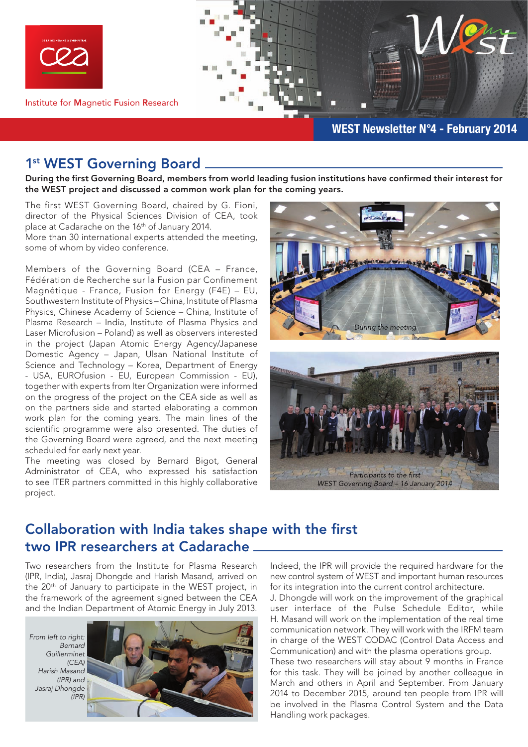

Institute for Magnetic Fusion Research

### WEST Newsletter N°4 - February 2014

## 1<sup>st</sup> WEST Governing Board \_

During the first Governing Board, members from world leading fusion institutions have confirmed their interest for the WEST project and discussed a common work plan for the coming years.

The first WEST Governing Board, chaired by G. Fioni, director of the Physical Sciences Division of CEA, took place at Cadarache on the 16th of January 2014.

More than 30 international experts attended the meeting, some of whom by video conference.

Members of the Governing Board (CEA – France, Fédération de Recherche sur la Fusion par Confinement Magnétique - France, Fusion for Energy (F4E) – EU, Southwestern Institute of Physics – China, Institute of Plasma Physics, Chinese Academy of Science – China, Institute of Plasma Research – India, Institute of Plasma Physics and Laser Microfusion – Poland) as well as observers interested in the project (Japan Atomic Energy Agency/Japanese Domestic Agency – Japan, Ulsan National Institute of Science and Technology – Korea, Department of Energy - USA, EUROfusion - EU, European Commission - EU), together with experts from Iter Organization were informed on the progress of the project on the CEA side as well as on the partners side and started elaborating a common work plan for the coming years. The main lines of the scientific programme were also presented. The duties of the Governing Board were agreed, and the next meeting scheduled for early next year.

The meeting was closed by Bernard Bigot, General Administrator of CEA, who expressed his satisfaction to see ITER partners committed in this highly collaborative project.





# Collaboration with India takes shape with the first two IPR researchers at Cadarache

Two researchers from the Institute for Plasma Research (IPR, India), Jasraj Dhongde and Harish Masand, arrived on the 20th of January to participate in the WEST project, in the framework of the agreement signed between the CEA and the Indian Department of Atomic Energy in July 2013.

*From left to right: Bernard Guillerminet (CEA) Harish Masand (IPR) and Jasraj Dhongde (IPR)*



Indeed, the IPR will provide the required hardware for the new control system of WEST and important human resources for its integration into the current control architecture.

J. Dhongde will work on the improvement of the graphical user interface of the Pulse Schedule Editor, while H. Masand will work on the implementation of the real time communication network. They will work with the IRFM team in charge of the WEST CODAC (Control Data Access and Communication) and with the plasma operations group. These two researchers will stay about 9 months in France for this task. They will be joined by another colleague in March and others in April and September. From January 2014 to December 2015, around ten people from IPR will be involved in the Plasma Control System and the Data Handling work packages.